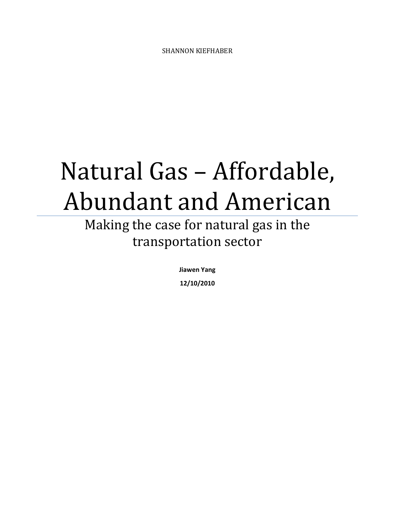# Natural Gas – Affordable, Abundant and American

## Making the case for natural gas in the transportation sector

Jiawen Yang

12/10/2010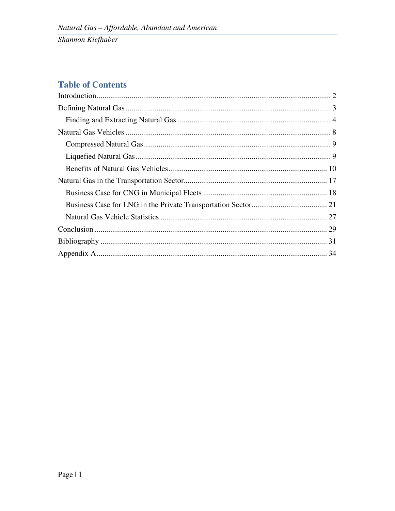## **Table of Contents**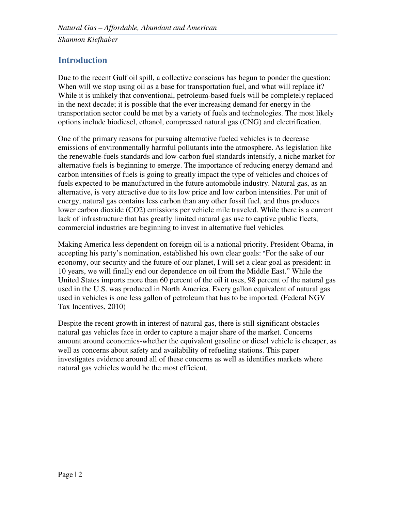## **Introduction**

Due to the recent Gulf oil spill, a collective conscious has begun to ponder the question: When will we stop using oil as a base for transportation fuel, and what will replace it? While it is unlikely that conventional, petroleum-based fuels will be completely replaced in the next decade; it is possible that the ever increasing demand for energy in the transportation sector could be met by a variety of fuels and technologies. The most likely options include biodiesel, ethanol, compressed natural gas (CNG) and electrification.

One of the primary reasons for pursuing alternative fueled vehicles is to decrease emissions of environmentally harmful pollutants into the atmosphere. As legislation like the renewable-fuels standards and low-carbon fuel standards intensify, a niche market for alternative fuels is beginning to emerge. The importance of reducing energy demand and carbon intensities of fuels is going to greatly impact the type of vehicles and choices of fuels expected to be manufactured in the future automobile industry. Natural gas, as an alternative, is very attractive due to its low price and low carbon intensities. Per unit of energy, natural gas contains less carbon than any other fossil fuel, and thus produces lower carbon dioxide (CO2) emissions per vehicle mile traveled. While there is a current lack of infrastructure that has greatly limited natural gas use to captive public fleets, commercial industries are beginning to invest in alternative fuel vehicles.

Making America less dependent on foreign oil is a national priority. President Obama, in accepting his party's nomination, established his own clear goals: "For the sake of our economy, our security and the future of our planet, I will set a clear goal as president: in 10 years, we will finally end our dependence on oil from the Middle East." While the United States imports more than 60 percent of the oil it uses, 98 percent of the natural gas used in the U.S. was produced in North America. Every gallon equivalent of natural gas used in vehicles is one less gallon of petroleum that has to be imported. (Federal NGV Tax Incentives, 2010)

Despite the recent growth in interest of natural gas, there is still significant obstacles natural gas vehicles face in order to capture a major share of the market. Concerns amount around economics-whether the equivalent gasoline or diesel vehicle is cheaper, as well as concerns about safety and availability of refueling stations. This paper investigates evidence around all of these concerns as well as identifies markets where natural gas vehicles would be the most efficient.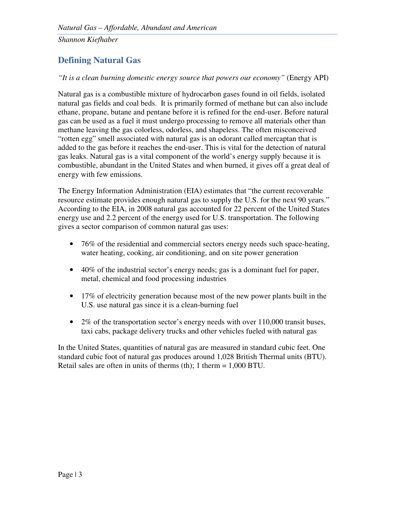## **Defining Natural Gas**

*"It is a clean burning domestic energy source that powers our economy"* (Energy API)

Natural gas is a combustible mixture of hydrocarbon gases found in oil fields, isolated natural gas fields and coal beds. It is primarily formed of methane but can also include ethane, propane, butane and pentane before it is refined for the end-user. Before natural gas can be used as a fuel it must undergo processing to remove all materials other than methane leaving the gas colorless, odorless, and shapeless. The often misconceived "rotten egg" smell associated with natural gas is an odorant called mercaptan that is added to the gas before it reaches the end-user. This is vital for the detection of natural gas leaks. Natural gas is a vital component of the world's energy supply because it is combustible, abundant in the United States and when burned, it gives off a great deal of energy with few emissions.

The Energy Information Administration (EIA) estimates that "the current recoverable resource estimate provides enough natural gas to supply the U.S. for the next 90 years." According to the EIA, in 2008 natural gas accounted for 22 percent of the United States energy use and 2.2 percent of the energy used for U.S. transportation. The following gives a sector comparison of common natural gas uses:

- 76% of the residential and commercial sectors energy needs such space-heating, water heating, cooking, air conditioning, and on site power generation
- 40% of the industrial sector's energy needs; gas is a dominant fuel for paper, metal, chemical and food processing industries
- 17% of electricity generation because most of the new power plants built in the U.S. use natural gas since it is a clean-burning fuel
- 2% of the transportation sector's energy needs with over 110,000 transit buses, taxi cabs, package delivery trucks and other vehicles fueled with natural gas

In the United States, quantities of natural gas are measured in standard cubic feet. One standard cubic foot of natural gas produces around 1,028 British Thermal units (BTU). Retail sales are often in units of therms (th); 1 therm = 1,000 BTU.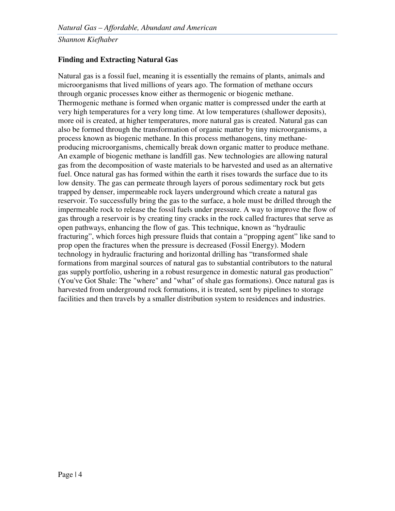#### **Finding and Extracting Natural Gas**

Natural gas is a fossil fuel, meaning it is essentially the remains of plants, animals and microorganisms that lived millions of years ago. The formation of methane occurs through organic processes know either as thermogenic or biogenic methane. Thermogenic methane is formed when organic matter is compressed under the earth at very high temperatures for a very long time. At low temperatures (shallower deposits), more oil is created, at higher temperatures, more natural gas is created. Natural gas can also be formed through the transformation of organic matter by tiny microorganisms, a process known as biogenic methane. In this process methanogens, tiny methaneproducing microorganisms, chemically break down organic matter to produce methane. An example of biogenic methane is landfill gas. New technologies are allowing natural gas from the decomposition of waste materials to be harvested and used as an alternative fuel. Once natural gas has formed within the earth it rises towards the surface due to its low density. The gas can permeate through layers of porous sedimentary rock but gets trapped by denser, impermeable rock layers underground which create a natural gas reservoir. To successfully bring the gas to the surface, a hole must be drilled through the impermeable rock to release the fossil fuels under pressure. A way to improve the flow of gas through a reservoir is by creating tiny cracks in the rock called fractures that serve as open pathways, enhancing the flow of gas. This technique, known as "hydraulic fracturing", which forces high pressure fluids that contain a "propping agent" like sand to prop open the fractures when the pressure is decreased (Fossil Energy). Modern technology in hydraulic fracturing and horizontal drilling has "transformed shale formations from marginal sources of natural gas to substantial contributors to the natural gas supply portfolio, ushering in a robust resurgence in domestic natural gas production" (You've Got Shale: The "where" and "what" of shale gas formations). Once natural gas is harvested from underground rock formations, it is treated, sent by pipelines to storage facilities and then travels by a smaller distribution system to residences and industries.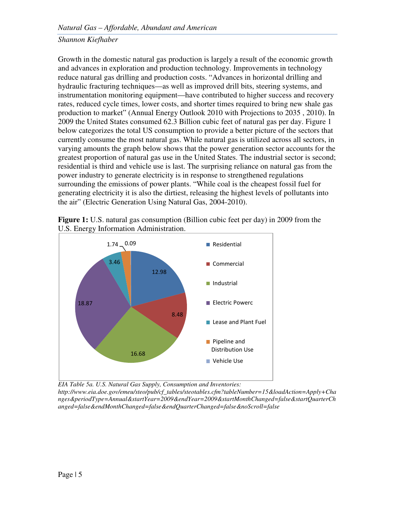Growth in the domestic natural gas production is largely a result of the economic growth and advances in exploration and production technology. Improvements in technology reduce natural gas drilling and production costs. "Advances in horizontal drilling and hydraulic fracturing techniques—as well as improved drill bits, steering systems, and instrumentation monitoring equipment—have contributed to higher success and recovery rates, reduced cycle times, lower costs, and shorter times required to bring new shale gas production to market" (Annual Energy Outlook 2010 with Projections to 2035 , 2010). In 2009 the United States consumed 62.3 Billion cubic feet of natural gas per day. Figure 1 below categorizes the total US consumption to provide a better picture of the sectors that currently consume the most natural gas. While natural gas is utilized across all sectors, in varying amounts the graph below shows that the power generation sector accounts for the greatest proportion of natural gas use in the United States. The industrial sector is second; residential is third and vehicle use is last. The surprising reliance on natural gas from the power industry to generate electricity is in response to strengthened regulations surrounding the emissions of power plants. "While coal is the cheapest fossil fuel for generating electricity it is also the dirtiest, releasing the highest levels of pollutants into the air" (Electric Generation Using Natural Gas, 2004-2010).





*EIA Table 5a. U.S. Natural Gas Supply, Consumption and Inventories:* 

*http://www.eia.doe.gov/emeu/steo/pub/cf\_tables/steotables.cfm?tableNumber=15&loadAction=Apply+Cha nges&periodType=Annual&startYear=2009&endYear=2009&startMonthChanged=false&startQuarterCh anged=false&endMonthChanged=false&endQuarterChanged=false&noScroll=false*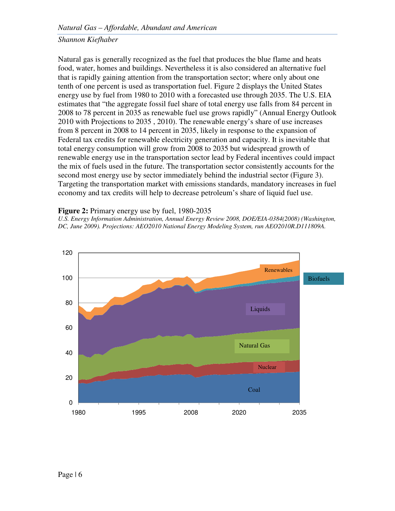Natural gas is generally recognized as the fuel that produces the blue flame and heats food, water, homes and buildings. Nevertheless it is also considered an alternative fuel that is rapidly gaining attention from the transportation sector; where only about one tenth of one percent is used as transportation fuel. Figure 2 displays the United States energy use by fuel from 1980 to 2010 with a forecasted use through 2035. The U.S. EIA estimates that "the aggregate fossil fuel share of total energy use falls from 84 percent in 2008 to 78 percent in 2035 as renewable fuel use grows rapidly" (Annual Energy Outlook 2010 with Projections to 2035 , 2010). The renewable energy's share of use increases from 8 percent in 2008 to 14 percent in 2035, likely in response to the expansion of Federal tax credits for renewable electricity generation and capacity. It is inevitable that total energy consumption will grow from 2008 to 2035 but widespread growth of renewable energy use in the transportation sector lead by Federal incentives could impact the mix of fuels used in the future. The transportation sector consistently accounts for the second most energy use by sector immediately behind the industrial sector (Figure 3). Targeting the transportation market with emissions standards, mandatory increases in fuel economy and tax credits will help to decrease petroleum's share of liquid fuel use.

#### **Figure 2:** Primary energy use by fuel, 1980-2035

U.S. Energy Information Administration, Annual Energy Review 2008, DOE/EIA-0384(2008) (Washington, *DC, June 2009). Projections: AEO2010 National Energy Modeling System, run AEO2010R.D111809A.* 

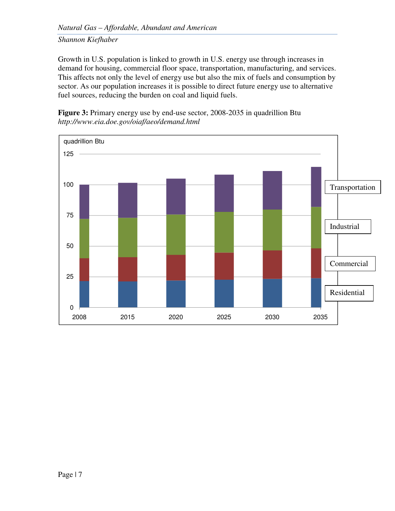Growth in U.S. population is linked to growth in U.S. energy use through increases in demand for housing, commercial floor space, transportation, manufacturing, and services. This affects not only the level of energy use but also the mix of fuels and consumption by sector. As our population increases it is possible to direct future energy use to alternative fuel sources, reducing the burden on coal and liquid fuels.

**Figure 3:** Primary energy use by end-use sector, 2008-2035 in quadrillion Btu *http://www.eia.doe.gov/oiaf/aeo/demand.html* 

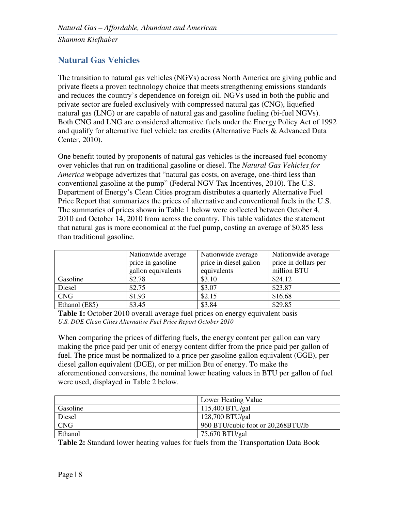## **Natural Gas Vehicles**

The transition to natural gas vehicles (NGVs) across North America are giving public and private fleets a proven technology choice that meets strengthening emissions standards and reduces the country's dependence on foreign oil. NGVs used in both the public and private sector are fueled exclusively with compressed natural gas (CNG), liquefied natural gas (LNG) or are capable of natural gas and gasoline fueling (bi-fuel NGVs). Both CNG and LNG are considered alternative fuels under the Energy Policy Act of 1992 and qualify for alternative fuel vehicle tax credits (Alternative Fuels & Advanced Data Center, 2010).

One benefit touted by proponents of natural gas vehicles is the increased fuel economy over vehicles that run on traditional gasoline or diesel. The *Natural Gas Vehicles for America* webpage advertizes that "natural gas costs, on average, one-third less than conventional gasoline at the pump" (Federal NGV Tax Incentives, 2010). The U.S. Department of Energy's Clean Cities program distributes a quarterly Alternative Fuel Price Report that summarizes the prices of alternative and conventional fuels in the U.S. The summaries of prices shown in Table 1 below were collected between October 4, 2010 and October 14, 2010 from across the country. This table validates the statement that natural gas is more economical at the fuel pump, costing an average of \$0.85 less than traditional gasoline.

|               | Nationwide average | Nationwide average     | Nationwide average   |  |
|---------------|--------------------|------------------------|----------------------|--|
|               | price in gasoline  | price in diesel gallon | price in dollars per |  |
|               | gallon equivalents | equivalents            | million BTU          |  |
| Gasoline      | \$2.78             | \$3.10                 | \$24.12              |  |
| Diesel        | \$2.75             | \$3.07                 | \$23.87              |  |
| <b>CNG</b>    | \$1.93             | \$2.15                 | \$16.68              |  |
| Ethanol (E85) | \$3.45             | \$3.84                 | \$29.85              |  |

**Table 1:** October 2010 overall average fuel prices on energy equivalent basis *U.S. DOE Clean Cities Alternative Fuel Price Report October 2010* 

When comparing the prices of differing fuels, the energy content per gallon can vary making the price paid per unit of energy content differ from the price paid per gallon of fuel. The price must be normalized to a price per gasoline gallon equivalent (GGE), per diesel gallon equivalent (DGE), or per million Btu of energy. To make the aforementioned conversions, the nominal lower heating values in BTU per gallon of fuel were used, displayed in Table 2 below.

|            | Lower Heating Value                |
|------------|------------------------------------|
| Gasoline   | $115,400$ BTU/gal                  |
| Diesel     | $128,700$ BTU/gal                  |
| <b>CNG</b> | 960 BTU/cubic foot or 20,268BTU/lb |
| Ethanol    | 75,670 BTU/gal                     |

**Table 2:** Standard lower heating values for fuels from the Transportation Data Book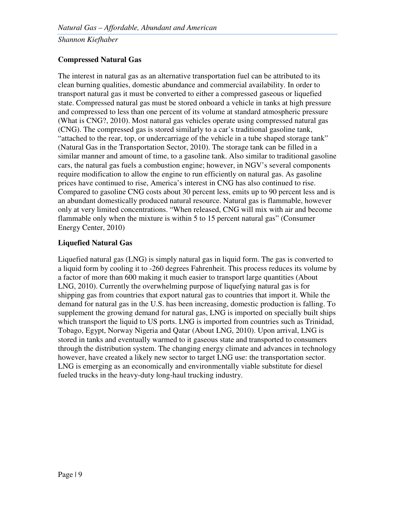#### **Compressed Natural Gas**

The interest in natural gas as an alternative transportation fuel can be attributed to its clean burning qualities, domestic abundance and commercial availability. In order to transport natural gas it must be converted to either a compressed gaseous or liquefied state. Compressed natural gas must be stored onboard a vehicle in tanks at high pressure and compressed to less than one percent of its volume at standard atmospheric pressure (What is CNG?, 2010). Most natural gas vehicles operate using compressed natural gas (CNG). The compressed gas is stored similarly to a car's traditional gasoline tank, "attached to the rear, top, or undercarriage of the vehicle in a tube shaped storage tank" (Natural Gas in the Transportation Sector, 2010). The storage tank can be filled in a similar manner and amount of time, to a gasoline tank. Also similar to traditional gasoline cars, the natural gas fuels a combustion engine; however, in NGV's several components require modification to allow the engine to run efficiently on natural gas. As gasoline prices have continued to rise, America's interest in CNG has also continued to rise. Compared to gasoline CNG costs about 30 percent less, emits up to 90 percent less and is an abundant domestically produced natural resource. Natural gas is flammable, however only at very limited concentrations. "When released, CNG will mix with air and become flammable only when the mixture is within 5 to 15 percent natural gas" (Consumer Energy Center, 2010)

#### **Liquefied Natural Gas**

Liquefied natural gas (LNG) is simply natural gas in liquid form. The gas is converted to a liquid form by cooling it to -260 degrees Fahrenheit. This process reduces its volume by a factor of more than 600 making it much easier to transport large quantities (About LNG, 2010). Currently the overwhelming purpose of liquefying natural gas is for shipping gas from countries that export natural gas to countries that import it. While the demand for natural gas in the U.S. has been increasing, domestic production is falling. To supplement the growing demand for natural gas, LNG is imported on specially built ships which transport the liquid to US ports. LNG is imported from countries such as Trinidad, Tobago, Egypt, Norway Nigeria and Qatar (About LNG, 2010). Upon arrival, LNG is stored in tanks and eventually warmed to it gaseous state and transported to consumers through the distribution system. The changing energy climate and advances in technology however, have created a likely new sector to target LNG use: the transportation sector. LNG is emerging as an economically and environmentally viable substitute for diesel fueled trucks in the heavy-duty long-haul trucking industry.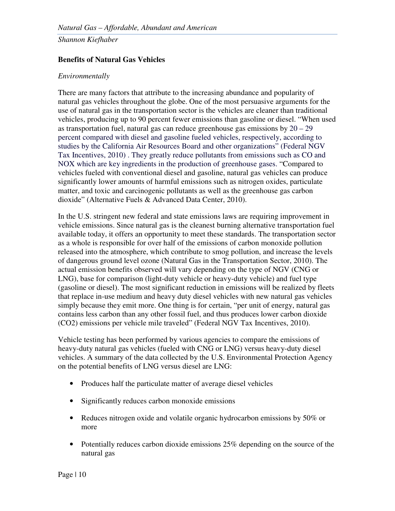#### **Benefits of Natural Gas Vehicles**

#### *Environmentally*

There are many factors that attribute to the increasing abundance and popularity of natural gas vehicles throughout the globe. One of the most persuasive arguments for the use of natural gas in the transportation sector is the vehicles are cleaner than traditional vehicles, producing up to 90 percent fewer emissions than gasoline or diesel. "When used as transportation fuel, natural gas can reduce greenhouse gas emissions by 20 – 29 percent compared with diesel and gasoline fueled vehicles, respectively, according to studies by the California Air Resources Board and other organizations" (Federal NGV Tax Incentives, 2010) . They greatly reduce pollutants from emissions such as CO and NOX which are key ingredients in the production of greenhouse gases. "Compared to vehicles fueled with conventional diesel and gasoline, natural gas vehicles can produce significantly lower amounts of harmful emissions such as nitrogen oxides, particulate matter, and toxic and carcinogenic pollutants as well as the greenhouse gas carbon dioxide" (Alternative Fuels & Advanced Data Center, 2010).

In the U.S. stringent new federal and state emissions laws are requiring improvement in vehicle emissions. Since natural gas is the cleanest burning alternative transportation fuel available today, it offers an opportunity to meet these standards. The transportation sector as a whole is responsible for over half of the emissions of carbon monoxide pollution released into the atmosphere, which contribute to smog pollution, and increase the levels of dangerous ground level ozone (Natural Gas in the Transportation Sector, 2010). The actual emission benefits observed will vary depending on the type of NGV (CNG or LNG), base for comparison (light-duty vehicle or heavy-duty vehicle) and fuel type (gasoline or diesel). The most significant reduction in emissions will be realized by fleets that replace in-use medium and heavy duty diesel vehicles with new natural gas vehicles simply because they emit more. One thing is for certain, "per unit of energy, natural gas contains less carbon than any other fossil fuel, and thus produces lower carbon dioxide (CO2) emissions per vehicle mile traveled" (Federal NGV Tax Incentives, 2010).

Vehicle testing has been performed by various agencies to compare the emissions of heavy-duty natural gas vehicles (fueled with CNG or LNG) versus heavy-duty diesel vehicles. A summary of the data collected by the U.S. Environmental Protection Agency on the potential benefits of LNG versus diesel are LNG:

- Produces half the particulate matter of average diesel vehicles
- Significantly reduces carbon monoxide emissions
- Reduces nitrogen oxide and volatile organic hydrocarbon emissions by 50% or more
- Potentially reduces carbon dioxide emissions 25% depending on the source of the natural gas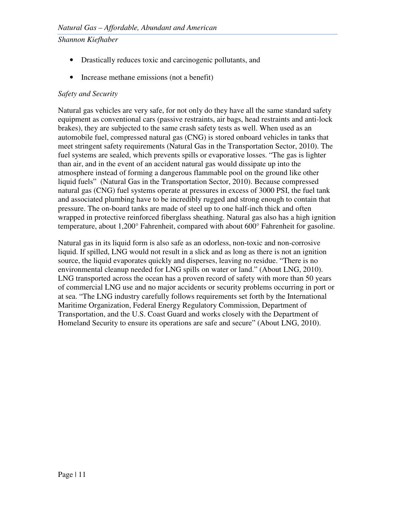- Drastically reduces toxic and carcinogenic pollutants, and
- Increase methane emissions (not a benefit)

#### *Safety and Security*

Natural gas vehicles are very safe, for not only do they have all the same standard safety equipment as conventional cars (passive restraints, air bags, head restraints and anti-lock brakes), they are subjected to the same crash safety tests as well. When used as an automobile fuel, compressed natural gas (CNG) is stored onboard vehicles in tanks that meet stringent safety requirements (Natural Gas in the Transportation Sector, 2010). The fuel systems are sealed, which prevents spills or evaporative losses. "The gas is lighter than air, and in the event of an accident natural gas would dissipate up into the atmosphere instead of forming a dangerous flammable pool on the ground like other liquid fuels" (Natural Gas in the Transportation Sector, 2010). Because compressed natural gas (CNG) fuel systems operate at pressures in excess of 3000 PSI, the fuel tank and associated plumbing have to be incredibly rugged and strong enough to contain that pressure. The on-board tanks are made of steel up to one half-inch thick and often wrapped in protective reinforced fiberglass sheathing. Natural gas also has a high ignition temperature, about 1,200° Fahrenheit, compared with about 600° Fahrenheit for gasoline.

Natural gas in its liquid form is also safe as an odorless, non-toxic and non-corrosive liquid. If spilled, LNG would not result in a slick and as long as there is not an ignition source, the liquid evaporates quickly and disperses, leaving no residue. "There is no environmental cleanup needed for LNG spills on water or land." (About LNG, 2010). LNG transported across the ocean has a proven record of safety with more than 50 years of commercial LNG use and no major accidents or security problems occurring in port or at sea. "The LNG industry carefully follows requirements set forth by the International Maritime Organization, Federal Energy Regulatory Commission, Department of Transportation, and the U.S. Coast Guard and works closely with the Department of Homeland Security to ensure its operations are safe and secure" (About LNG, 2010).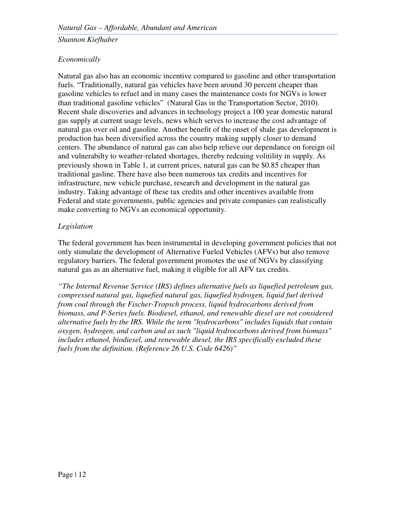#### *Economically*

Natural gas also has an economic incentive compared to gasoline and other transportation fuels. "Traditionally, natural gas vehicles have been around 30 percent cheaper than gasoline vehicles to refuel and in many cases the maintenance costs for NGVs is lower than traditional gasoline vehicles" (Natural Gas in the Transportation Sector, 2010). Recent shale discoveries and advances in technology project a 100 year domestic natural gas supply at current usage levels, news which serves to increase the cost advantage of natural gas over oil and gasoline. Another benefit of the onset of shale gas development is production has been diversified across the country making supply closer to demand centers. The abundance of natural gas can also help relieve our dependance on foreign oil and vulnerabilty to weather-related shortages, thereby redcuing volitility in supply. As previously shown in Table 1, at current prices, natural gas can be \$0.85 cheaper than traditional gasline. There have also been numerous tax credits and incentives for infrastructure, new vehicle purchase, research and development in the natural gas industry. Taking advantage of these tax credits and other incentives available from Federal and state governments, public agencies and private companies can realistically make converting to NGVs an economical opportunity.

#### *Legislation*

The federal government has been instrumental in developing government policies that not only stimulate the development of Alternative Fueled Vehicles (AFVs) but also remove regulatory barriers. The federal government promotes the use of NGVs by classifying natural gas as an alternative fuel, making it eligible for all AFV tax credits.

*"The Internal Revenue Service (IRS) defines alternative fuels as liquefied petroleum gas, compressed natural gas, liquefied natural gas, liquefied hydrogen, liquid fuel derived from coal through the Fischer-Tropsch process, liquid hydrocarbons derived from biomass, and P-Series fuels. Biodiesel, ethanol, and renewable diesel are not considered alternative fuels by the IRS. While the term "hydrocarbons" includes liquids that contain oxygen, hydrogen, and carbon and as such "liquid hydrocarbons derived from biomass" includes ethanol, biodiesel, and renewable diesel, the IRS specifically excluded these fuels from the definition. (Reference 26 U.S. Code 6426)"*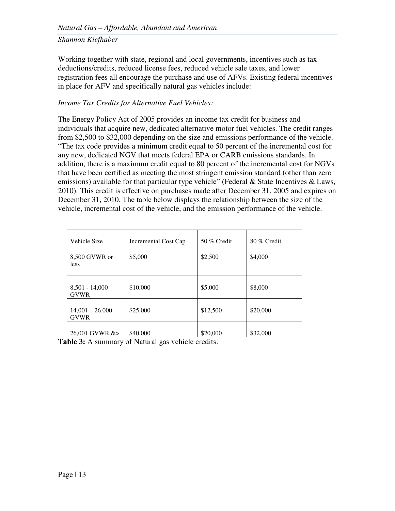Working together with state, regional and local governments, incentives such as tax deductions/credits, reduced license fees, reduced vehicle sale taxes, and lower registration fees all encourage the purchase and use of AFVs. Existing federal incentives in place for AFV and specifically natural gas vehicles include:

#### *Income Tax Credits for Alternative Fuel Vehicles:*

The Energy Policy Act of 2005 provides an income tax credit for business and individuals that acquire new, dedicated alternative motor fuel vehicles. The credit ranges from \$2,500 to \$32,000 depending on the size and emissions performance of the vehicle. "The tax code provides a minimum credit equal to 50 percent of the incremental cost for any new, dedicated NGV that meets federal EPA or CARB emissions standards. In addition, there is a maximum credit equal to 80 percent of the incremental cost for NGVs that have been certified as meeting the most stringent emission standard (other than zero emissions) available for that particular type vehicle" (Federal & State Incentives & Laws, 2010). This credit is effective on purchases made after December 31, 2005 and expires on December 31, 2010. The table below displays the relationship between the size of the vehicle, incremental cost of the vehicle, and the emission performance of the vehicle.

| Vehicle Size                     | Incremental Cost Cap | 50 % Credit | 80 % Credit |  |
|----------------------------------|----------------------|-------------|-------------|--|
| 8,500 GVWR or<br>less            | \$5,000              | \$2,500     | \$4,000     |  |
| $8,501 - 14,000$<br><b>GVWR</b>  | \$10,000             | \$5,000     | \$8,000     |  |
| $14,001 - 26,000$<br><b>GVWR</b> | \$25,000             | \$12,500    | \$20,000    |  |
| 26,001 GVWR &>                   | \$40,000             | \$20,000    | \$32,000    |  |

Table 3: A summary of Natural gas vehicle credits.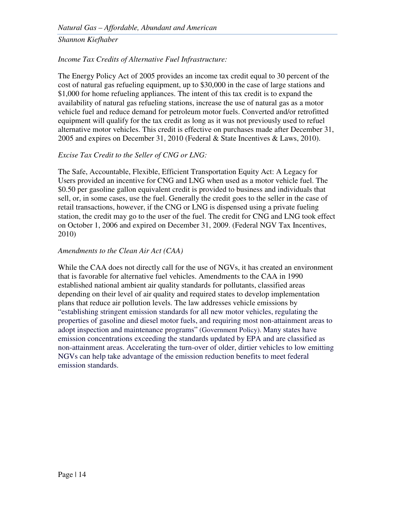#### *Income Tax Credits of Alternative Fuel Infrastructure:*

The Energy Policy Act of 2005 provides an income tax credit equal to 30 percent of the cost of natural gas refueling equipment, up to \$30,000 in the case of large stations and \$1,000 for home refueling appliances. The intent of this tax credit is to expand the availability of natural gas refueling stations, increase the use of natural gas as a motor vehicle fuel and reduce demand for petroleum motor fuels. Converted and/or retrofitted equipment will qualify for the tax credit as long as it was not previously used to refuel alternative motor vehicles. This credit is effective on purchases made after December 31, 2005 and expires on December 31, 2010 (Federal & State Incentives & Laws, 2010).

#### *Excise Tax Credit to the Seller of CNG or LNG:*

The Safe, Accountable, Flexible, Efficient Transportation Equity Act: A Legacy for Users provided an incentive for CNG and LNG when used as a motor vehicle fuel. The \$0.50 per gasoline gallon equivalent credit is provided to business and individuals that sell, or, in some cases, use the fuel. Generally the credit goes to the seller in the case of retail transactions, however, if the CNG or LNG is dispensed using a private fueling station, the credit may go to the user of the fuel. The credit for CNG and LNG took effect on October 1, 2006 and expired on December 31, 2009. (Federal NGV Tax Incentives, 2010)

#### *Amendments to the Clean Air Act (CAA)*

While the CAA does not directly call for the use of NGVs, it has created an environment that is favorable for alternative fuel vehicles. Amendments to the CAA in 1990 established national ambient air quality standards for pollutants, classified areas depending on their level of air quality and required states to develop implementation plans that reduce air pollution levels. The law addresses vehicle emissions by "establishing stringent emission standards for all new motor vehicles, regulating the properties of gasoline and diesel motor fuels, and requiring most non-attainment areas to adopt inspection and maintenance programs" (Government Policy). Many states have emission concentrations exceeding the standards updated by EPA and are classified as non-attainment areas. Accelerating the turn-over of older, dirtier vehicles to low emitting NGVs can help take advantage of the emission reduction benefits to meet federal emission standards.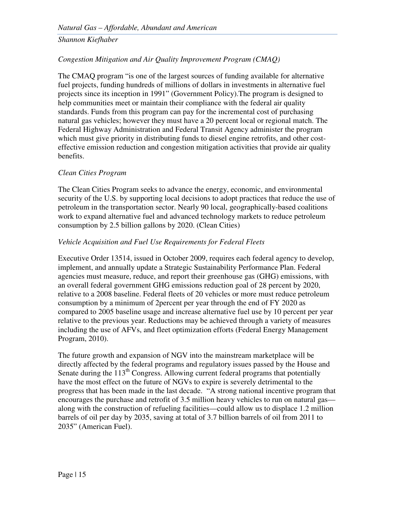#### *Congestion Mitigation and Air Quality Improvement Program (CMAQ)*

The CMAQ program "is one of the largest sources of funding available for alternative fuel projects, funding hundreds of millions of dollars in investments in alternative fuel projects since its inception in 1991" (Government Policy).The program is designed to help communities meet or maintain their compliance with the federal air quality standards. Funds from this program can pay for the incremental cost of purchasing natural gas vehicles; however they must have a 20 percent local or regional match. The Federal Highway Administration and Federal Transit Agency administer the program which must give priority in distributing funds to diesel engine retrofits, and other costeffective emission reduction and congestion mitigation activities that provide air quality benefits.

#### *Clean Cities Program*

The Clean Cities Program seeks to advance the energy, economic, and environmental security of the U.S. by supporting local decisions to adopt practices that reduce the use of petroleum in the transportation sector. Nearly 90 local, geographically-based coalitions work to expand alternative fuel and advanced technology markets to reduce petroleum consumption by 2.5 billion gallons by 2020. (Clean Cities)

#### *Vehicle Acquisition and Fuel Use Requirements for Federal Fleets*

Executive Order 13514, issued in October 2009, requires each federal agency to develop, implement, and annually update a Strategic Sustainability Performance Plan. Federal agencies must measure, reduce, and report their greenhouse gas (GHG) emissions, with an overall federal government GHG emissions reduction goal of 28 percent by 2020, relative to a 2008 baseline. Federal fleets of 20 vehicles or more must reduce petroleum consumption by a minimum of 2percent per year through the end of FY 2020 as compared to 2005 baseline usage and increase alternative fuel use by 10 percent per year relative to the previous year. Reductions may be achieved through a variety of measures including the use of AFVs, and fleet optimization efforts (Federal Energy Management Program, 2010).

The future growth and expansion of NGV into the mainstream marketplace will be directly affected by the federal programs and regulatory issues passed by the House and Senate during the  $113<sup>th</sup>$  Congress. Allowing current federal programs that potentially have the most effect on the future of NGVs to expire is severely detrimental to the progress that has been made in the last decade. "A strong national incentive program that encourages the purchase and retrofit of 3.5 million heavy vehicles to run on natural gas along with the construction of refueling facilities—could allow us to displace 1.2 million barrels of oil per day by 2035, saving at total of 3.7 billion barrels of oil from 2011 to 2035" (American Fuel).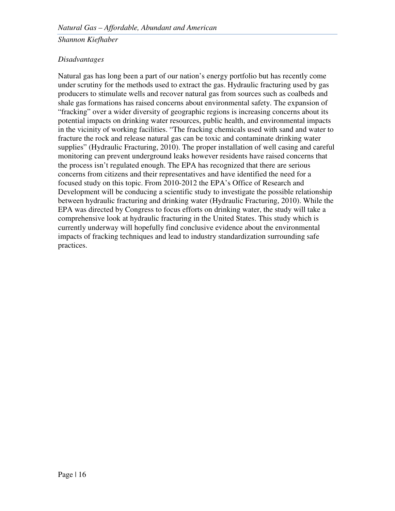#### *Disadvantages*

Natural gas has long been a part of our nation's energy portfolio but has recently come under scrutiny for the methods used to extract the gas. Hydraulic fracturing used by gas producers to stimulate wells and recover natural gas from sources such as coalbeds and shale gas formations has raised concerns about environmental safety. The expansion of "fracking" over a wider diversity of geographic regions is increasing concerns about its potential impacts on drinking water resources, public health, and environmental impacts in the vicinity of working facilities. "The fracking chemicals used with sand and water to fracture the rock and release natural gas can be toxic and contaminate drinking water supplies" (Hydraulic Fracturing, 2010). The proper installation of well casing and careful monitoring can prevent underground leaks however residents have raised concerns that the process isn't regulated enough. The EPA has recognized that there are serious concerns from citizens and their representatives and have identified the need for a focused study on this topic. From 2010-2012 the EPA's Office of Research and Development will be conducing a scientific study to investigate the possible relationship between hydraulic fracturing and drinking water (Hydraulic Fracturing, 2010). While the EPA was directed by Congress to focus efforts on drinking water, the study will take a comprehensive look at hydraulic fracturing in the United States. This study which is currently underway will hopefully find conclusive evidence about the environmental impacts of fracking techniques and lead to industry standardization surrounding safe practices.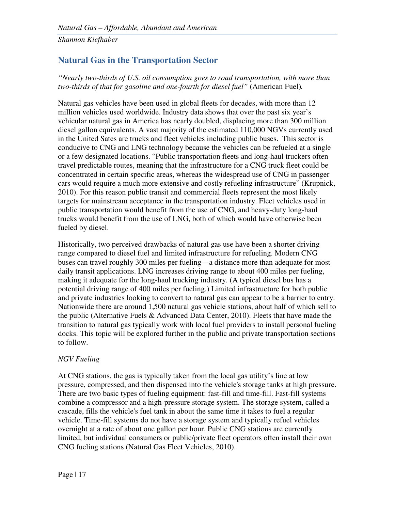## **Natural Gas in the Transportation Sector**

*"Nearly two-thirds of U.S. oil consumption goes to road transportation, with more than two-thirds of that for gasoline and one-fourth for diesel fuel"* (American Fuel)*.* 

Natural gas vehicles have been used in global fleets for decades, with more than 12 million vehicles used worldwide. Industry data shows that over the past six year's vehicular natural gas in America has nearly doubled, displacing more than 300 million diesel gallon equivalents. A vast majority of the estimated 110,000 NGVs currently used in the United Sates are trucks and fleet vehicles including public buses. This sector is conducive to CNG and LNG technology because the vehicles can be refueled at a single or a few designated locations. "Public transportation fleets and long-haul truckers often travel predictable routes, meaning that the infrastructure for a CNG truck fleet could be concentrated in certain specific areas, whereas the widespread use of CNG in passenger cars would require a much more extensive and costly refueling infrastructure" (Krupnick, 2010). For this reason public transit and commercial fleets represent the most likely targets for mainstream acceptance in the transportation industry. Fleet vehicles used in public transportation would benefit from the use of CNG, and heavy-duty long-haul trucks would benefit from the use of LNG, both of which would have otherwise been fueled by diesel.

Historically, two perceived drawbacks of natural gas use have been a shorter driving range compared to diesel fuel and limited infrastructure for refueling. Modern CNG buses can travel roughly 300 miles per fueling—a distance more than adequate for most daily transit applications. LNG increases driving range to about 400 miles per fueling, making it adequate for the long-haul trucking industry. (A typical diesel bus has a potential driving range of 400 miles per fueling.) Limited infrastructure for both public and private industries looking to convert to natural gas can appear to be a barrier to entry. Nationwide there are around 1,500 natural gas vehicle stations, about half of which sell to the public (Alternative Fuels & Advanced Data Center, 2010). Fleets that have made the transition to natural gas typically work with local fuel providers to install personal fueling docks. This topic will be explored further in the public and private transportation sections to follow.

#### *NGV Fueling*

At CNG stations, the gas is typically taken from the local gas utility's line at low pressure, compressed, and then dispensed into the vehicle's storage tanks at high pressure. There are two basic types of fueling equipment: fast-fill and time-fill. Fast-fill systems combine a compressor and a high-pressure storage system. The storage system, called a cascade, fills the vehicle's fuel tank in about the same time it takes to fuel a regular vehicle. Time-fill systems do not have a storage system and typically refuel vehicles overnight at a rate of about one gallon per hour. Public CNG stations are currently limited, but individual consumers or public/private fleet operators often install their own CNG fueling stations (Natural Gas Fleet Vehicles, 2010).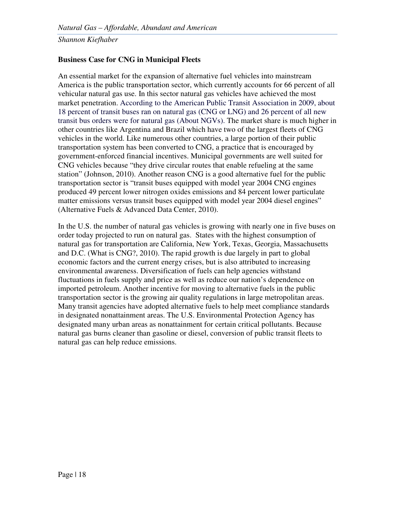#### **Business Case for CNG in Municipal Fleets**

An essential market for the expansion of alternative fuel vehicles into mainstream America is the public transportation sector, which currently accounts for 66 percent of all vehicular natural gas use. In this sector natural gas vehicles have achieved the most market penetration. According to the American Public Transit Association in 2009, about 18 percent of transit buses ran on natural gas (CNG or LNG) and 26 percent of all new transit bus orders were for natural gas (About NGVs). The market share is much higher in other countries like Argentina and Brazil which have two of the largest fleets of CNG vehicles in the world. Like numerous other countries, a large portion of their public transportation system has been converted to CNG, a practice that is encouraged by government-enforced financial incentives. Municipal governments are well suited for CNG vehicles because "they drive circular routes that enable refueling at the same station" (Johnson, 2010). Another reason CNG is a good alternative fuel for the public transportation sector is "transit buses equipped with model year 2004 CNG engines produced 49 percent lower nitrogen oxides emissions and 84 percent lower particulate matter emissions versus transit buses equipped with model year 2004 diesel engines" (Alternative Fuels & Advanced Data Center, 2010).

In the U.S. the number of natural gas vehicles is growing with nearly one in five buses on order today projected to run on natural gas. States with the highest consumption of natural gas for transportation are California, New York, Texas, Georgia, Massachusetts and D.C. (What is CNG?, 2010). The rapid growth is due largely in part to global economic factors and the current energy crises, but is also attributed to increasing environmental awareness. Diversification of fuels can help agencies withstand fluctuations in fuels supply and price as well as reduce our nation's dependence on imported petroleum. Another incentive for moving to alternative fuels in the public transportation sector is the growing air quality regulations in large metropolitan areas. Many transit agencies have adopted alternative fuels to help meet compliance standards in designated nonattainment areas. The U.S. Environmental Protection Agency has designated many urban areas as nonattainment for certain critical pollutants. Because natural gas burns cleaner than gasoline or diesel, conversion of public transit fleets to natural gas can help reduce emissions.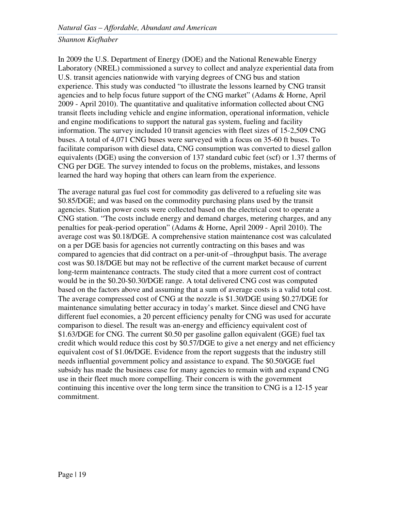In 2009 the U.S. Department of Energy (DOE) and the National Renewable Energy Laboratory (NREL) commissioned a survey to collect and analyze experiential data from U.S. transit agencies nationwide with varying degrees of CNG bus and station experience. This study was conducted "to illustrate the lessons learned by CNG transit agencies and to help focus future support of the CNG market" (Adams & Horne, April 2009 - April 2010). The quantitative and qualitative information collected about CNG transit fleets including vehicle and engine information, operational information, vehicle and engine modifications to support the natural gas system, fueling and facility information. The survey included 10 transit agencies with fleet sizes of 15-2,509 CNG buses. A total of 4,071 CNG buses were surveyed with a focus on 35-60 ft buses. To facilitate comparison with diesel data, CNG consumption was converted to diesel gallon equivalents (DGE) using the conversion of 137 standard cubic feet (scf) or 1.37 therms of CNG per DGE. The survey intended to focus on the problems, mistakes, and lessons learned the hard way hoping that others can learn from the experience.

The average natural gas fuel cost for commodity gas delivered to a refueling site was \$0.85/DGE; and was based on the commodity purchasing plans used by the transit agencies. Station power costs were collected based on the electrical cost to operate a CNG station. "The costs include energy and demand charges, metering charges, and any penalties for peak-period operation" (Adams & Horne, April 2009 - April 2010). The average cost was \$0.18/DGE. A comprehensive station maintenance cost was calculated on a per DGE basis for agencies not currently contracting on this bases and was compared to agencies that did contract on a per-unit-of –throughput basis. The average cost was \$0.18/DGE but may not be reflective of the current market because of current long-term maintenance contracts. The study cited that a more current cost of contract would be in the \$0.20-\$0.30/DGE range. A total delivered CNG cost was computed based on the factors above and assuming that a sum of average costs is a valid total cost. The average compressed cost of CNG at the nozzle is \$1.30/DGE using \$0.27/DGE for maintenance simulating better accuracy in today's market. Since diesel and CNG have different fuel economies, a 20 percent efficiency penalty for CNG was used for accurate comparison to diesel. The result was an-energy and efficiency equivalent cost of \$1.63/DGE for CNG. The current \$0.50 per gasoline gallon equivalent (GGE) fuel tax credit which would reduce this cost by \$0.57/DGE to give a net energy and net efficiency equivalent cost of \$1.06/DGE. Evidence from the report suggests that the industry still needs influential government policy and assistance to expand. The \$0.50/GGE fuel subsidy has made the business case for many agencies to remain with and expand CNG use in their fleet much more compelling. Their concern is with the government continuing this incentive over the long term since the transition to CNG is a 12-15 year commitment.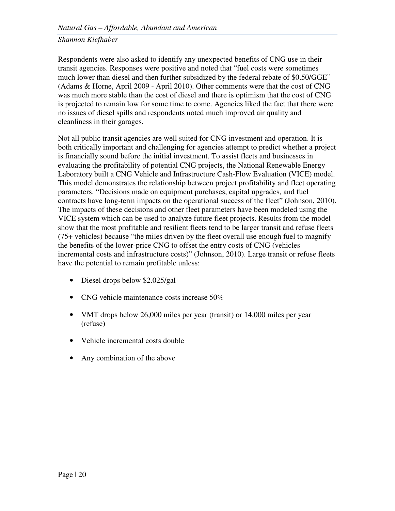Respondents were also asked to identify any unexpected benefits of CNG use in their transit agencies. Responses were positive and noted that "fuel costs were sometimes much lower than diesel and then further subsidized by the federal rebate of \$0.50/GGE" (Adams & Horne, April 2009 - April 2010). Other comments were that the cost of CNG was much more stable than the cost of diesel and there is optimism that the cost of CNG is projected to remain low for some time to come. Agencies liked the fact that there were no issues of diesel spills and respondents noted much improved air quality and cleanliness in their garages.

Not all public transit agencies are well suited for CNG investment and operation. It is both critically important and challenging for agencies attempt to predict whether a project is financially sound before the initial investment. To assist fleets and businesses in evaluating the profitability of potential CNG projects, the National Renewable Energy Laboratory built a CNG Vehicle and Infrastructure Cash-Flow Evaluation (VICE) model. This model demonstrates the relationship between project profitability and fleet operating parameters. "Decisions made on equipment purchases, capital upgrades, and fuel contracts have long-term impacts on the operational success of the fleet" (Johnson, 2010). The impacts of these decisions and other fleet parameters have been modeled using the VICE system which can be used to analyze future fleet projects. Results from the model show that the most profitable and resilient fleets tend to be larger transit and refuse fleets (75+ vehicles) because "the miles driven by the fleet overall use enough fuel to magnify the benefits of the lower-price CNG to offset the entry costs of CNG (vehicles incremental costs and infrastructure costs)" (Johnson, 2010). Large transit or refuse fleets have the potential to remain profitable unless:

- Diesel drops below \$2.025/gal
- CNG vehicle maintenance costs increase 50%
- VMT drops below 26,000 miles per year (transit) or 14,000 miles per year (refuse)
- Vehicle incremental costs double
- Any combination of the above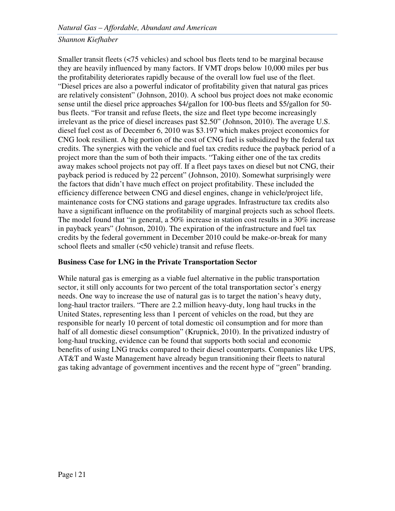Smaller transit fleets (<75 vehicles) and school bus fleets tend to be marginal because they are heavily influenced by many factors. If VMT drops below 10,000 miles per bus the profitability deteriorates rapidly because of the overall low fuel use of the fleet. "Diesel prices are also a powerful indicator of profitability given that natural gas prices are relatively consistent" (Johnson, 2010). A school bus project does not make economic sense until the diesel price approaches \$4/gallon for 100-bus fleets and \$5/gallon for 50 bus fleets. "For transit and refuse fleets, the size and fleet type become increasingly irrelevant as the price of diesel increases past \$2.50" (Johnson, 2010). The average U.S. diesel fuel cost as of December 6, 2010 was \$3.197 which makes project economics for CNG look resilient. A big portion of the cost of CNG fuel is subsidized by the federal tax credits. The synergies with the vehicle and fuel tax credits reduce the payback period of a project more than the sum of both their impacts. "Taking either one of the tax credits away makes school projects not pay off. If a fleet pays taxes on diesel but not CNG, their payback period is reduced by 22 percent" (Johnson, 2010). Somewhat surprisingly were the factors that didn't have much effect on project profitability. These included the efficiency difference between CNG and diesel engines, change in vehicle/project life, maintenance costs for CNG stations and garage upgrades. Infrastructure tax credits also have a significant influence on the profitability of marginal projects such as school fleets. The model found that "in general, a 50% increase in station cost results in a 30% increase in payback years" (Johnson, 2010). The expiration of the infrastructure and fuel tax credits by the federal government in December 2010 could be make-or-break for many school fleets and smaller (<50 vehicle) transit and refuse fleets.

#### **Business Case for LNG in the Private Transportation Sector**

While natural gas is emerging as a viable fuel alternative in the public transportation sector, it still only accounts for two percent of the total transportation sector's energy needs. One way to increase the use of natural gas is to target the nation's heavy duty, long-haul tractor trailers. "There are 2.2 million heavy-duty, long haul trucks in the United States, representing less than 1 percent of vehicles on the road, but they are responsible for nearly 10 percent of total domestic oil consumption and for more than half of all domestic diesel consumption" (Krupnick, 2010). In the privatized industry of long-haul trucking, evidence can be found that supports both social and economic benefits of using LNG trucks compared to their diesel counterparts. Companies like UPS, AT&T and Waste Management have already begun transitioning their fleets to natural gas taking advantage of government incentives and the recent hype of "green" branding.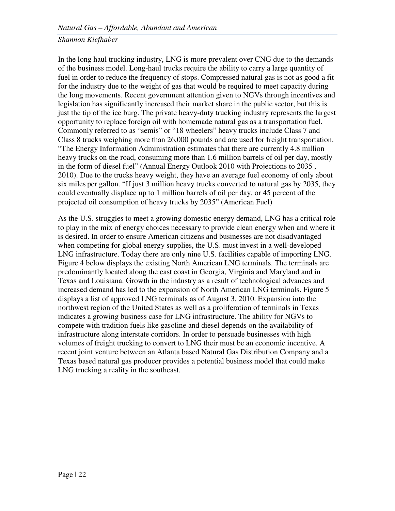In the long haul trucking industry, LNG is more prevalent over CNG due to the demands of the business model. Long-haul trucks require the ability to carry a large quantity of fuel in order to reduce the frequency of stops. Compressed natural gas is not as good a fit for the industry due to the weight of gas that would be required to meet capacity during the long movements. Recent government attention given to NGVs through incentives and legislation has significantly increased their market share in the public sector, but this is just the tip of the ice burg. The private heavy-duty trucking industry represents the largest opportunity to replace foreign oil with homemade natural gas as a transportation fuel. Commonly referred to as "semis" or "18 wheelers" heavy trucks include Class 7 and Class 8 trucks weighing more than 26,000 pounds and are used for freight transportation. "The Energy Information Administration estimates that there are currently 4.8 million heavy trucks on the road, consuming more than 1.6 million barrels of oil per day, mostly in the form of diesel fuel" (Annual Energy Outlook 2010 with Projections to 2035 , 2010). Due to the trucks heavy weight, they have an average fuel economy of only about six miles per gallon. "If just 3 million heavy trucks converted to natural gas by 2035, they could eventually displace up to 1 million barrels of oil per day, or 45 percent of the projected oil consumption of heavy trucks by 2035" (American Fuel)

As the U.S. struggles to meet a growing domestic energy demand, LNG has a critical role to play in the mix of energy choices necessary to provide clean energy when and where it is desired. In order to ensure American citizens and businesses are not disadvantaged when competing for global energy supplies, the U.S. must invest in a well-developed LNG infrastructure. Today there are only nine U.S. facilities capable of importing LNG. Figure 4 below displays the existing North American LNG terminals. The terminals are predominantly located along the east coast in Georgia, Virginia and Maryland and in Texas and Louisiana. Growth in the industry as a result of technological advances and increased demand has led to the expansion of North American LNG terminals. Figure 5 displays a list of approved LNG terminals as of August 3, 2010. Expansion into the northwest region of the United States as well as a proliferation of terminals in Texas indicates a growing business case for LNG infrastructure. The ability for NGVs to compete with tradition fuels like gasoline and diesel depends on the availability of infrastructure along interstate corridors. In order to persuade businesses with high volumes of freight trucking to convert to LNG their must be an economic incentive. A recent joint venture between an Atlanta based Natural Gas Distribution Company and a Texas based natural gas producer provides a potential business model that could make LNG trucking a reality in the southeast.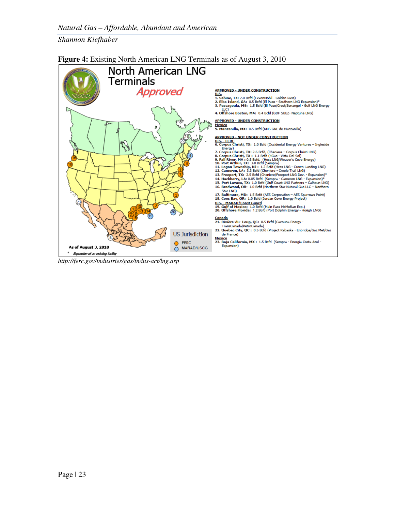

#### **Figure 4:** Existing North American LNG Terminals as of August 3, 2010

*http://ferc.gov/industries/gas/indus-act/lng.asp*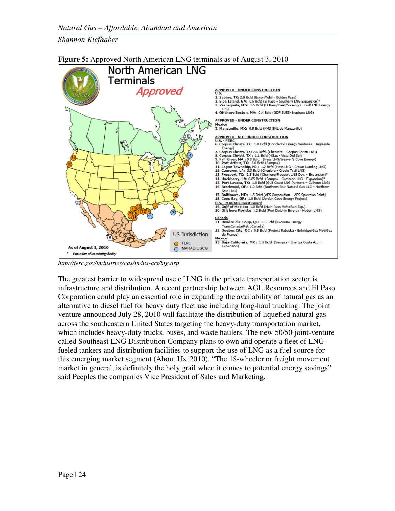

#### **Figure 5:** Approved North American LNG terminals as of August 3, 2010

*http://ferc.gov/industries/gas/indus-act/lng.asp*

The greatest barrier to widespread use of LNG in the private transportation sector is infrastructure and distribution. A recent partnership between AGL Resources and El Paso Corporation could play an essential role in expanding the availability of natural gas as an alternative to diesel fuel for heavy duty fleet use including long-haul trucking. The joint venture announced July 28, 2010 will facilitate the distribution of liquefied natural gas across the southeastern United States targeting the heavy-duty transportation market, which includes heavy-duty trucks, buses, and waste haulers. The new 50/50 joint-venture called Southeast LNG Distribution Company plans to own and operate a fleet of LNGfueled tankers and distribution facilities to support the use of LNG as a fuel source for this emerging market segment (About Us, 2010). "The 18-wheeler or freight movement market in general, is definitely the holy grail when it comes to potential energy savings" said Peeples the companies Vice President of Sales and Marketing.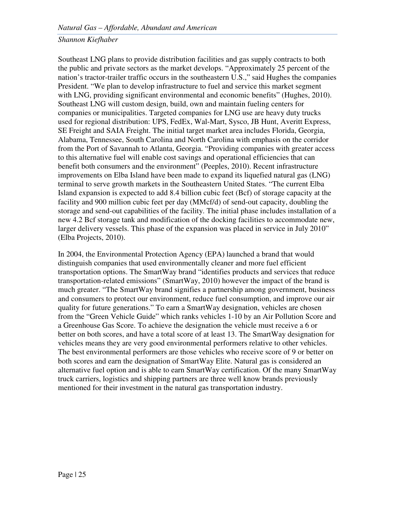Southeast LNG plans to provide distribution facilities and gas supply contracts to both the public and private sectors as the market develops. "Approximately 25 percent of the nation's tractor-trailer traffic occurs in the southeastern U.S.," said Hughes the companies President. "We plan to develop infrastructure to fuel and service this market segment with LNG, providing significant environmental and economic benefits" (Hughes, 2010). Southeast LNG will custom design, build, own and maintain fueling centers for companies or municipalities. Targeted companies for LNG use are heavy duty trucks used for regional distribution: UPS, FedEx, Wal-Mart, Sysco, JB Hunt, Averitt Express, SE Freight and SAIA Freight. The initial target market area includes Florida, Georgia, Alabama, Tennessee, South Carolina and North Carolina with emphasis on the corridor from the Port of Savannah to Atlanta, Georgia. "Providing companies with greater access to this alternative fuel will enable cost savings and operational efficiencies that can benefit both consumers and the environment" (Peeples, 2010). Recent infrastructure improvements on Elba Island have been made to expand its liquefied natural gas (LNG) terminal to serve growth markets in the Southeastern United States. "The current Elba Island expansion is expected to add 8.4 billion cubic feet (Bcf) of storage capacity at the facility and 900 million cubic feet per day (MMcf/d) of send-out capacity, doubling the storage and send-out capabilities of the facility. The initial phase includes installation of a new 4.2 Bcf storage tank and modification of the docking facilities to accommodate new, larger delivery vessels. This phase of the expansion was placed in service in July 2010" (Elba Projects, 2010).

In 2004, the Environmental Protection Agency (EPA) launched a brand that would distinguish companies that used environmentally cleaner and more fuel efficient transportation options. The SmartWay brand "identifies products and services that reduce transportation-related emissions" (SmartWay, 2010) however the impact of the brand is much greater. "The SmartWay brand signifies a partnership among government, business and consumers to protect our environment, reduce fuel consumption, and improve our air quality for future generations." To earn a SmartWay designation, vehicles are chosen from the "Green Vehicle Guide" which ranks vehicles 1-10 by an Air Pollution Score and a Greenhouse Gas Score. To achieve the designation the vehicle must receive a 6 or better on both scores, and have a total score of at least 13. The SmartWay designation for vehicles means they are very good environmental performers relative to other vehicles. The best environmental performers are those vehicles who receive score of 9 or better on both scores and earn the designation of SmartWay Elite. Natural gas is considered an alternative fuel option and is able to earn SmartWay certification. Of the many SmartWay truck carriers, logistics and shipping partners are three well know brands previously mentioned for their investment in the natural gas transportation industry.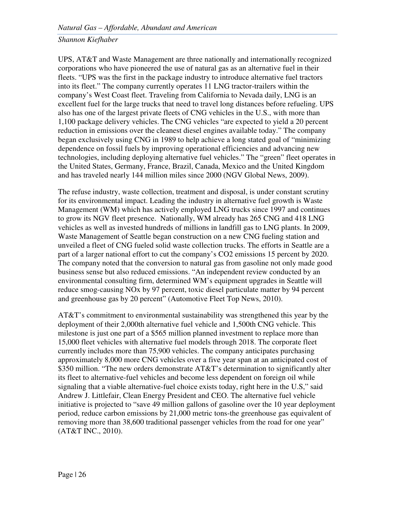UPS, AT&T and Waste Management are three nationally and internationally recognized corporations who have pioneered the use of natural gas as an alternative fuel in their fleets. "UPS was the first in the package industry to introduce alternative fuel tractors into its fleet." The company currently operates 11 LNG tractor-trailers within the company's West Coast fleet. Traveling from California to Nevada daily, LNG is an excellent fuel for the large trucks that need to travel long distances before refueling. UPS also has one of the largest private fleets of CNG vehicles in the U.S., with more than 1,100 package delivery vehicles. The CNG vehicles "are expected to yield a 20 percent reduction in emissions over the cleanest diesel engines available today." The company began exclusively using CNG in 1989 to help achieve a long stated goal of "minimizing dependence on fossil fuels by improving operational efficiencies and advancing new technologies, including deploying alternative fuel vehicles." The "green" fleet operates in the United States, Germany, France, Brazil, Canada, Mexico and the United Kingdom and has traveled nearly 144 million miles since 2000 (NGV Global News, 2009).

The refuse industry, waste collection, treatment and disposal, is under constant scrutiny for its environmental impact. Leading the industry in alternative fuel growth is Waste Management (WM) which has actively employed LNG trucks since 1997 and continues to grow its NGV fleet presence. Nationally, WM already has 265 CNG and 418 LNG vehicles as well as invested hundreds of millions in landfill gas to LNG plants. In 2009, Waste Management of Seattle began construction on a new CNG fueling station and unveiled a fleet of CNG fueled solid waste collection trucks. The efforts in Seattle are a part of a larger national effort to cut the company's CO2 emissions 15 percent by 2020. The company noted that the conversion to natural gas from gasoline not only made good business sense but also reduced emissions. "An independent review conducted by an environmental consulting firm, determined WM's equipment upgrades in Seattle will reduce smog-causing NOx by 97 percent, toxic diesel particulate matter by 94 percent and greenhouse gas by 20 percent" (Automotive Fleet Top News, 2010).

AT&T's commitment to environmental sustainability was strengthened this year by the deployment of their 2,000th alternative fuel vehicle and 1,500th CNG vehicle. This milestone is just one part of a \$565 million planned investment to replace more than 15,000 fleet vehicles with alternative fuel models through 2018. The corporate fleet currently includes more than 75,900 vehicles. The company anticipates purchasing approximately 8,000 more CNG vehicles over a five year span at an anticipated cost of \$350 million. "The new orders demonstrate AT&T's determination to significantly alter its fleet to alternative-fuel vehicles and become less dependent on foreign oil while signaling that a viable alternative-fuel choice exists today, right here in the U.S," said Andrew J. Littlefair, Clean Energy President and CEO. The alternative fuel vehicle initiative is projected to "save 49 million gallons of gasoline over the 10 year deployment period, reduce carbon emissions by 21,000 metric tons-the greenhouse gas equivalent of removing more than 38,600 traditional passenger vehicles from the road for one year" (AT&T INC., 2010).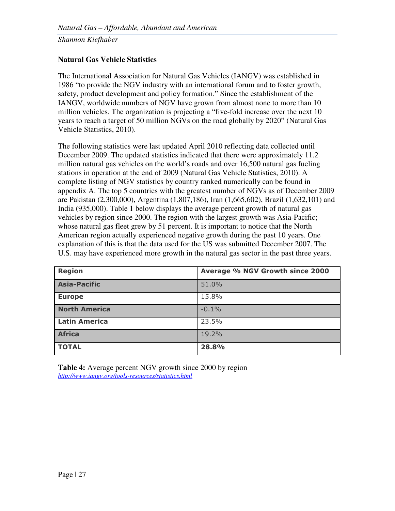#### **Natural Gas Vehicle Statistics**

The International Association for Natural Gas Vehicles (IANGV) was established in 1986 "to provide the NGV industry with an international forum and to foster growth, safety, product development and policy formation." Since the establishment of the IANGV, worldwide numbers of NGV have grown from almost none to more than 10 million vehicles. The organization is projecting a "five-fold increase over the next 10 years to reach a target of 50 million NGVs on the road globally by 2020" (Natural Gas Vehicle Statistics, 2010).

The following statistics were last updated April 2010 reflecting data collected until December 2009. The updated statistics indicated that there were approximately 11.2 million natural gas vehicles on the world's roads and over 16,500 natural gas fueling stations in operation at the end of 2009 (Natural Gas Vehicle Statistics, 2010). A complete listing of NGV statistics by country ranked numerically can be found in appendix A. The top 5 countries with the greatest number of NGVs as of December 2009 are Pakistan (2,300,000), Argentina (1,807,186), Iran (1,665,602), Brazil (1,632,101) and India (935,000). Table 1 below displays the average percent growth of natural gas vehicles by region since 2000. The region with the largest growth was Asia-Pacific; whose natural gas fleet grew by 51 percent. It is important to notice that the North American region actually experienced negative growth during the past 10 years. One explanation of this is that the data used for the US was submitted December 2007. The U.S. may have experienced more growth in the natural gas sector in the past three years.

| <b>Region</b>        | Average % NGV Growth since 2000 |
|----------------------|---------------------------------|
| <b>Asia-Pacific</b>  | 51.0%                           |
| <b>Europe</b>        | 15.8%                           |
| <b>North America</b> | $-0.1%$                         |
| <b>Latin America</b> | 23.5%                           |
| <b>Africa</b>        | 19.2%                           |
| <b>TOTAL</b>         | 28.8%                           |

**Table 4:** Average percent NGV growth since 2000 by region *http://www.iangv.org/tools-resources/statistics.html*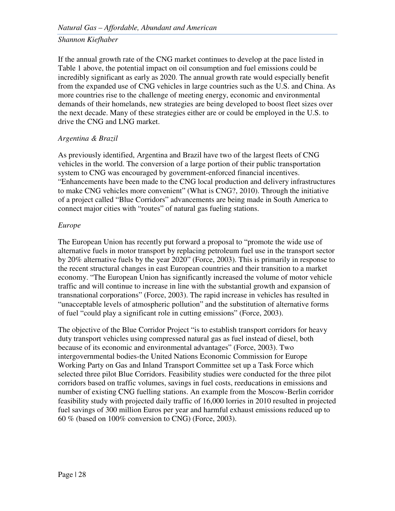If the annual growth rate of the CNG market continues to develop at the pace listed in Table 1 above, the potential impact on oil consumption and fuel emissions could be incredibly significant as early as 2020. The annual growth rate would especially benefit from the expanded use of CNG vehicles in large countries such as the U.S. and China. As more countries rise to the challenge of meeting energy, economic and environmental demands of their homelands, new strategies are being developed to boost fleet sizes over the next decade. Many of these strategies either are or could be employed in the U.S. to drive the CNG and LNG market.

#### *Argentina & Brazil*

As previously identified, Argentina and Brazil have two of the largest fleets of CNG vehicles in the world. The conversion of a large portion of their public transportation system to CNG was encouraged by government-enforced financial incentives. "Enhancements have been made to the CNG local production and delivery infrastructures to make CNG vehicles more convenient" (What is CNG?, 2010). Through the initiative of a project called "Blue Corridors" advancements are being made in South America to connect major cities with "routes" of natural gas fueling stations.

#### *Europe*

The European Union has recently put forward a proposal to "promote the wide use of alternative fuels in motor transport by replacing petroleum fuel use in the transport sector by 20% alternative fuels by the year 2020" (Force, 2003). This is primarily in response to the recent structural changes in east European countries and their transition to a market economy. "The European Union has significantly increased the volume of motor vehicle traffic and will continue to increase in line with the substantial growth and expansion of transnational corporations" (Force, 2003). The rapid increase in vehicles has resulted in "unacceptable levels of atmospheric pollution" and the substitution of alternative forms of fuel "could play a significant role in cutting emissions" (Force, 2003).

The objective of the Blue Corridor Project "is to establish transport corridors for heavy duty transport vehicles using compressed natural gas as fuel instead of diesel, both because of its economic and environmental advantages" (Force, 2003). Two intergovernmental bodies-the United Nations Economic Commission for Europe Working Party on Gas and Inland Transport Committee set up a Task Force which selected three pilot Blue Corridors. Feasibility studies were conducted for the three pilot corridors based on traffic volumes, savings in fuel costs, reeducations in emissions and number of existing CNG fuelling stations. An example from the Moscow-Berlin corridor feasibility study with projected daily traffic of 16,000 lorries in 2010 resulted in projected fuel savings of 300 million Euros per year and harmful exhaust emissions reduced up to 60 % (based on 100% conversion to CNG) (Force, 2003).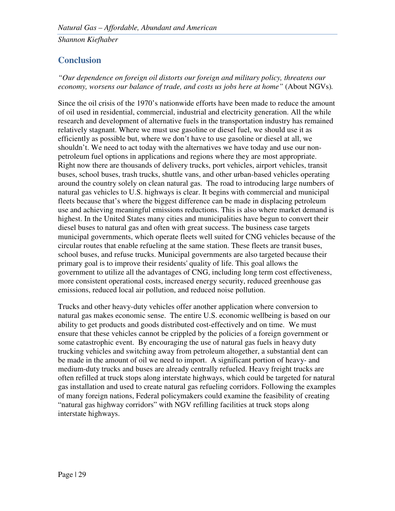## **Conclusion**

*"Our dependence on foreign oil distorts our foreign and military policy, threatens our economy, worsens our balance of trade, and costs us jobs here at home"* (About NGVs)*.* 

Since the oil crisis of the 1970's nationwide efforts have been made to reduce the amount of oil used in residential, commercial, industrial and electricity generation. All the while research and development of alternative fuels in the transportation industry has remained relatively stagnant. Where we must use gasoline or diesel fuel, we should use it as efficiently as possible but, where we don't have to use gasoline or diesel at all, we shouldn't. We need to act today with the alternatives we have today and use our nonpetroleum fuel options in applications and regions where they are most appropriate. Right now there are thousands of delivery trucks, port vehicles, airport vehicles, transit buses, school buses, trash trucks, shuttle vans, and other urban-based vehicles operating around the country solely on clean natural gas. The road to introducing large numbers of natural gas vehicles to U.S. highways is clear. It begins with commercial and municipal fleets because that's where the biggest difference can be made in displacing petroleum use and achieving meaningful emissions reductions. This is also where market demand is highest. In the United States many cities and municipalities have begun to convert their diesel buses to natural gas and often with great success. The business case targets municipal governments, which operate fleets well suited for CNG vehicles because of the circular routes that enable refueling at the same station. These fleets are transit buses, school buses, and refuse trucks. Municipal governments are also targeted because their primary goal is to improve their residents' quality of life. This goal allows the government to utilize all the advantages of CNG, including long term cost effectiveness, more consistent operational costs, increased energy security, reduced greenhouse gas emissions, reduced local air pollution, and reduced noise pollution.

Trucks and other heavy-duty vehicles offer another application where conversion to natural gas makes economic sense. The entire U.S. economic wellbeing is based on our ability to get products and goods distributed cost-effectively and on time. We must ensure that these vehicles cannot be crippled by the policies of a foreign government or some catastrophic event. By encouraging the use of natural gas fuels in heavy duty trucking vehicles and switching away from petroleum altogether, a substantial dent can be made in the amount of oil we need to import. A significant portion of heavy- and medium-duty trucks and buses are already centrally refueled. Heavy freight trucks are often refilled at truck stops along interstate highways, which could be targeted for natural gas installation and used to create natural gas refueling corridors. Following the examples of many foreign nations, Federal policymakers could examine the feasibility of creating "natural gas highway corridors" with NGV refilling facilities at truck stops along interstate highways.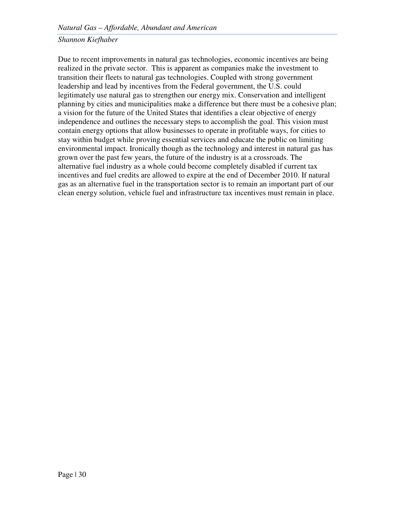Due to recent improvements in natural gas technologies, economic incentives are being realized in the private sector. This is apparent as companies make the investment to transition their fleets to natural gas technologies. Coupled with strong government leadership and lead by incentives from the Federal government, the U.S. could legitimately use natural gas to strengthen our energy mix. Conservation and intelligent planning by cities and municipalities make a difference but there must be a cohesive plan; a vision for the future of the United States that identifies a clear objective of energy independence and outlines the necessary steps to accomplish the goal. This vision must contain energy options that allow businesses to operate in profitable ways, for cities to stay within budget while proving essential services and educate the public on limiting environmental impact. Ironically though as the technology and interest in natural gas has grown over the past few years, the future of the industry is at a crossroads. The alternative fuel industry as a whole could become completely disabled if current tax incentives and fuel credits are allowed to expire at the end of December 2010. If natural gas as an alternative fuel in the transportation sector is to remain an important part of our clean energy solution, vehicle fuel and infrastructure tax incentives must remain in place.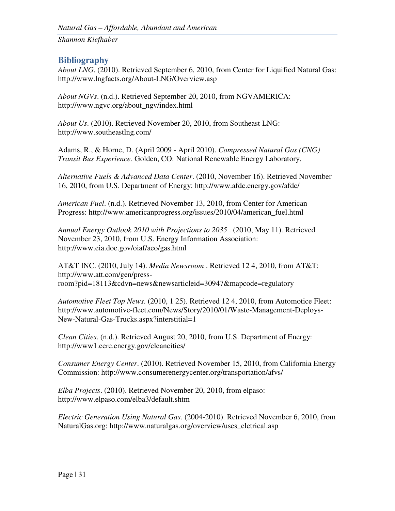#### **Bibliography**

*About LNG*. (2010). Retrieved September 6, 2010, from Center for Liquified Natural Gas: http://www.lngfacts.org/About-LNG/Overview.asp

*About NGVs*. (n.d.). Retrieved September 20, 2010, from NGVAMERICA: http://www.ngvc.org/about\_ngv/index.html

*About Us*. (2010). Retrieved November 20, 2010, from Southeast LNG: http://www.southeastlng.com/

Adams, R., & Horne, D. (April 2009 - April 2010). *Compressed Natural Gas (CNG) Transit Bus Experience.* Golden, CO: National Renewable Energy Laboratory.

*Alternative Fuels & Advanced Data Center*. (2010, November 16). Retrieved November 16, 2010, from U.S. Department of Energy: http://www.afdc.energy.gov/afdc/

*American Fuel*. (n.d.). Retrieved November 13, 2010, from Center for American Progress: http://www.americanprogress.org/issues/2010/04/american\_fuel.html

*Annual Energy Outlook 2010 with Projections to 2035* . (2010, May 11). Retrieved November 23, 2010, from U.S. Energy Information Association: http://www.eia.doe.gov/oiaf/aeo/gas.html

AT&T INC. (2010, July 14). *Media Newsroom* . Retrieved 12 4, 2010, from AT&T: http://www.att.com/gen/pressroom?pid=18113&cdvn=news&newsarticleid=30947&mapcode=regulatory

*Automotive Fleet Top News*. (2010, 1 25). Retrieved 12 4, 2010, from Automotice Fleet: http://www.automotive-fleet.com/News/Story/2010/01/Waste-Management-Deploys-New-Natural-Gas-Trucks.aspx?interstitial=1

*Clean Cities*. (n.d.). Retrieved August 20, 2010, from U.S. Department of Energy: http://www1.eere.energy.gov/cleancities/

*Consumer Energy Center*. (2010). Retrieved November 15, 2010, from California Energy Commission: http://www.consumerenergycenter.org/transportation/afvs/

*Elba Projects*. (2010). Retrieved November 20, 2010, from elpaso: http://www.elpaso.com/elba3/default.shtm

*Electric Generation Using Natural Gas*. (2004-2010). Retrieved November 6, 2010, from NaturalGas.org: http://www.naturalgas.org/overview/uses\_eletrical.asp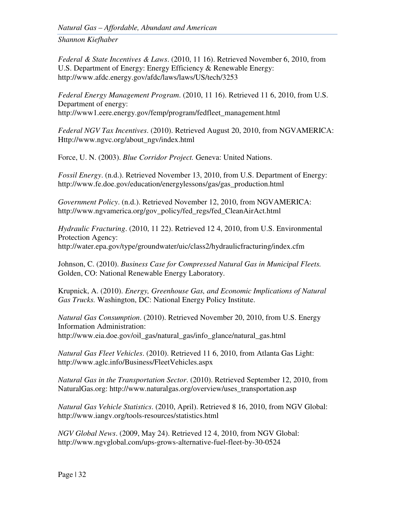*Natural Gas – Affordable, Abundant and American* 

*Shannon Kiefhaber*

*Federal & State Incentives & Laws*. (2010, 11 16). Retrieved November 6, 2010, from U.S. Department of Energy: Energy Efficiency & Renewable Energy: http://www.afdc.energy.gov/afdc/laws/laws/US/tech/3253

*Federal Energy Management Program*. (2010, 11 16). Retrieved 11 6, 2010, from U.S. Department of energy: http://www1.eere.energy.gov/femp/program/fedfleet\_management.html

*Federal NGV Tax Incentives*. (2010). Retrieved August 20, 2010, from NGVAMERICA: Http://www.ngvc.org/about\_ngv/index.html

Force, U. N. (2003). *Blue Corridor Project.* Geneva: United Nations.

*Fossil Energy*. (n.d.). Retrieved November 13, 2010, from U.S. Department of Energy: http://www.fe.doe.gov/education/energylessons/gas/gas\_production.html

*Government Policy*. (n.d.). Retrieved November 12, 2010, from NGVAMERICA: http://www.ngvamerica.org/gov\_policy/fed\_regs/fed\_CleanAirAct.html

*Hydraulic Fracturing*. (2010, 11 22). Retrieved 12 4, 2010, from U.S. Environmental Protection Agency: http://water.epa.gov/type/groundwater/uic/class2/hydraulicfracturing/index.cfm

Johnson, C. (2010). *Business Case for Compressed Natural Gas in Municipal Fleets.* Golden, CO: National Renewable Energy Laboratory.

Krupnick, A. (2010). *Energy, Greenhouse Gas, and Economic Implications of Natural Gas Trucks.* Washington, DC: National Energy Policy Institute.

*Natural Gas Consumption*. (2010). Retrieved November 20, 2010, from U.S. Energy Information Administration: http://www.eia.doe.gov/oil\_gas/natural\_gas/info\_glance/natural\_gas.html

*Natural Gas Fleet Vehicles*. (2010). Retrieved 11 6, 2010, from Atlanta Gas Light: http://www.aglc.info/Business/FleetVehicles.aspx

*Natural Gas in the Transportation Sector*. (2010). Retrieved September 12, 2010, from NaturalGas.org: http://www.naturalgas.org/overview/uses\_transportation.asp

*Natural Gas Vehicle Statistics*. (2010, April). Retrieved 8 16, 2010, from NGV Global: http://www.iangv.org/tools-resources/statistics.html

*NGV Global News*. (2009, May 24). Retrieved 12 4, 2010, from NGV Global: http://www.ngvglobal.com/ups-grows-alternative-fuel-fleet-by-30-0524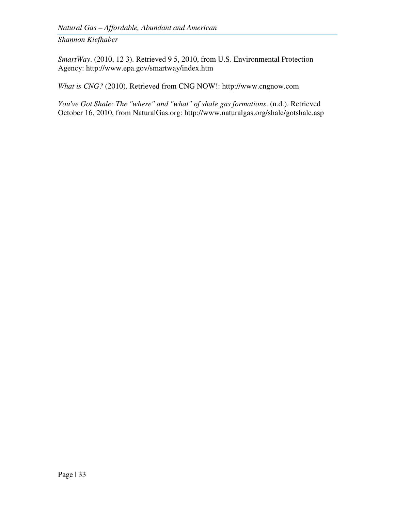*SmartWay*. (2010, 12 3). Retrieved 9 5, 2010, from U.S. Environmental Protection Agency: http://www.epa.gov/smartway/index.htm

*What is CNG?* (2010). Retrieved from CNG NOW!: http://www.cngnow.com

*You've Got Shale: The "where" and "what" of shale gas formations*. (n.d.). Retrieved October 16, 2010, from NaturalGas.org: http://www.naturalgas.org/shale/gotshale.asp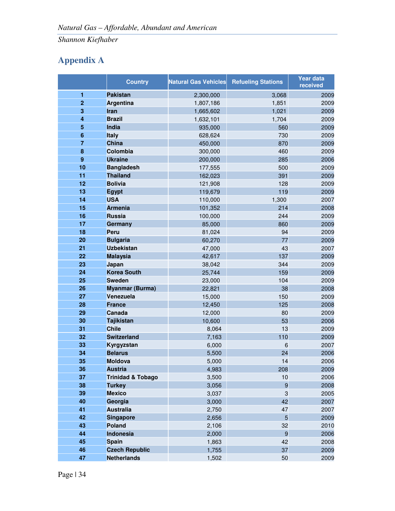## **Appendix A**

|                         | <b>Country</b>               | <b>Natural Gas Vehicles</b> | <b>Refueling Stations</b> | <b>Year data</b><br>received |
|-------------------------|------------------------------|-----------------------------|---------------------------|------------------------------|
| $\mathbf{1}$            | <b>Pakistan</b>              | 2,300,000                   | 3,068                     | 2009                         |
| $\overline{2}$          | <b>Argentina</b>             | 1,807,186                   | 1,851                     | 2009                         |
| 3                       | Iran                         | 1,665,602                   | 1,021                     | 2009                         |
| $\overline{\mathbf{4}}$ | <b>Brazil</b>                | 1,632,101                   | 1,704                     | 2009                         |
| 5                       | India                        | 935,000                     | 560                       | 2009                         |
| $6\phantom{1}6$         | <b>Italy</b>                 | 628,624                     | 730                       | 2009                         |
| $\overline{7}$          | <b>China</b>                 | 450,000                     | 870                       | 2009                         |
| 8                       | Colombia                     | 300,000                     | 460                       | 2009                         |
| 9                       | <b>Ukraine</b>               | 200,000                     | 285                       | 2006                         |
| 10                      | <b>Bangladesh</b>            | 177,555                     | 500                       | 2009                         |
| 11                      | <b>Thailand</b>              | 162,023                     | 391                       | 2009                         |
| 12                      | <b>Bolivia</b>               | 121,908                     | 128                       | 2009                         |
| 13                      | <b>Egypt</b>                 | 119,679                     | 119                       | 2009                         |
| 14                      | <b>USA</b>                   | 110,000                     | 1,300                     | 2007                         |
| 15                      | <b>Armenia</b>               | 101,352                     | 214                       | 2008                         |
| 16                      | <b>Russia</b>                | 100,000                     | 244                       | 2009                         |
| 17                      | Germany                      | 85,000                      | 860                       | 2009                         |
| 18                      | <b>Peru</b>                  | 81,024                      | 94                        | 2009                         |
| 20                      | <b>Bulgaria</b>              | 60,270                      | 77                        | 2009                         |
| 21                      | <b>Uzbekistan</b>            | 47,000                      | 43                        | 2007                         |
| 22                      | <b>Malaysia</b>              | 42,617                      | 137                       | 2009                         |
| 23                      | Japan                        | 38,042                      | 344                       | 2009                         |
| 24                      | <b>Korea South</b>           | 25,744                      | 159                       | 2009                         |
| 25                      | <b>Sweden</b>                | 23,000                      | 104                       | 2009                         |
| 26                      | <b>Myanmar (Burma)</b>       | 22,821                      | 38                        | 2008                         |
| 27                      | Venezuela                    | 15,000                      | 150                       | 2009                         |
| 28                      | <b>France</b>                | 12,450                      | 125                       | 2008                         |
| 29                      | Canada                       | 12,000                      | 80                        | 2009                         |
| 30                      | <b>Tajikistan</b>            | 10,600                      | 53                        | 2006                         |
| 31                      | <b>Chile</b>                 | 8,064                       | 13                        | 2009                         |
| 32                      | <b>Switzerland</b>           | 7,163                       | 110                       | 2009                         |
| 33                      | Kyrgyzstan                   | 6,000                       | 6                         | 2007                         |
| 34                      | <b>Belarus</b>               | 5,500                       | 24                        | 2006                         |
| 35                      | Moldova                      | 5,000                       | 14                        | 2006                         |
| 36                      | <b>Austria</b>               | 4,983                       | 208                       | 2009                         |
| 37                      | <b>Trinidad &amp; Tobago</b> | 3,500                       | 10                        | 2006                         |
| 38                      | <b>Turkey</b>                | 3,056                       | $\boldsymbol{9}$          | 2008                         |
| 39                      | <b>Mexico</b>                | 3,037                       | 3                         | 2005                         |
| 40                      | Georgia                      | 3,000                       | 42                        | 2007                         |
| 41                      | <b>Australia</b>             | 2,750                       | 47                        | 2007                         |
| 42                      | <b>Singapore</b>             | 2,656                       | $\overline{5}$            | 2009                         |
| 43                      | <b>Poland</b>                | 2,106                       | 32                        | 2010                         |
| 44                      | Indonesia                    | 2,000                       | $\boldsymbol{9}$          | 2006                         |
| 45                      | <b>Spain</b>                 | 1,863                       | 42                        | 2008                         |
| 46                      | <b>Czech Republic</b>        | 1,755                       | 37                        | 2009                         |
| 47                      | <b>Netherlands</b>           | 1,502                       | 50                        | 2009                         |